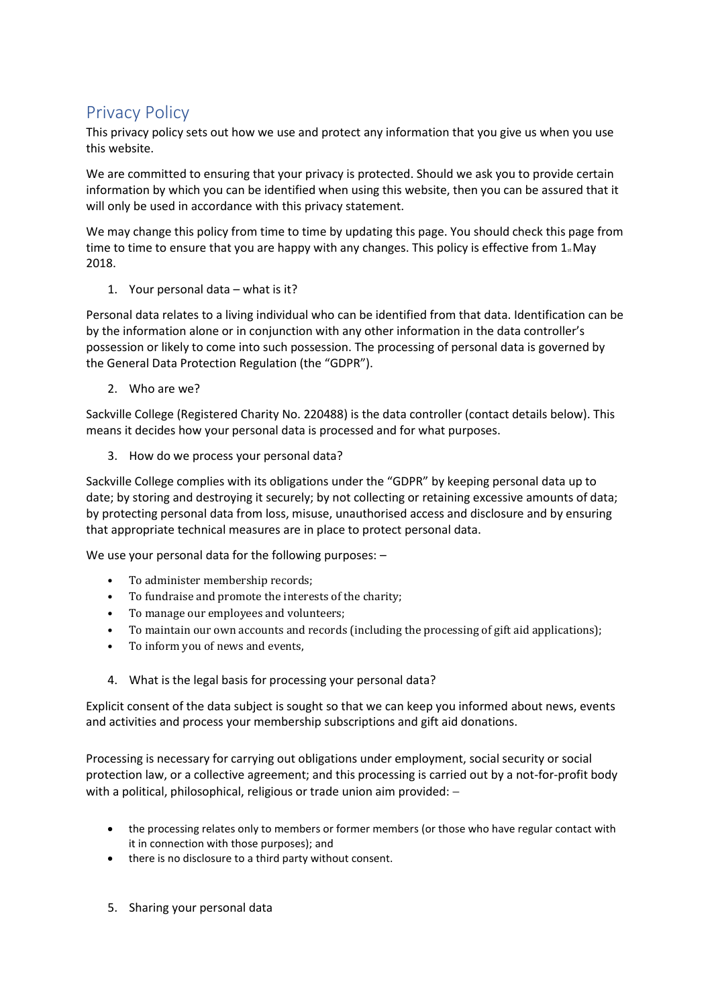## Privacy Policy

This privacy policy sets out how we use and protect any information that you give us when you use this website.

We are committed to ensuring that your privacy is protected. Should we ask you to provide certain information by which you can be identified when using this website, then you can be assured that it will only be used in accordance with this privacy statement.

We may change this policy from time to time by updating this page. You should check this page from time to time to ensure that you are happy with any changes. This policy is effective from  $1<sub>s</sub>$  May 2018.

1. Your personal data – what is it?

Personal data relates to a living individual who can be identified from that data. Identification can be by the information alone or in conjunction with any other information in the data controller's possession or likely to come into such possession. The processing of personal data is governed by the General Data Protection Regulation (the "GDPR").

2. Who are we?

Sackville College (Registered Charity No. 220488) is the data controller (contact details below). This means it decides how your personal data is processed and for what purposes.

3. How do we process your personal data?

Sackville College complies with its obligations under the "GDPR" by keeping personal data up to date; by storing and destroying it securely; by not collecting or retaining excessive amounts of data; by protecting personal data from loss, misuse, unauthorised access and disclosure and by ensuring that appropriate technical measures are in place to protect personal data.

We use your personal data for the following purposes: -

- To administer membership records;
- To fundraise and promote the interests of the charity;
- To manage our employees and volunteers;
- To maintain our own accounts and records (including the processing of gift aid applications);
- To inform you of news and events,
- 4. What is the legal basis for processing your personal data?

Explicit consent of the data subject is sought so that we can keep you informed about news, events and activities and process your membership subscriptions and gift aid donations.

Processing is necessary for carrying out obligations under employment, social security or social protection law, or a collective agreement; and this processing is carried out by a not-for-profit body with a political, philosophical, religious or trade union aim provided: -

- the processing relates only to members or former members (or those who have regular contact with it in connection with those purposes); and
- there is no disclosure to a third party without consent.
- 5. Sharing your personal data